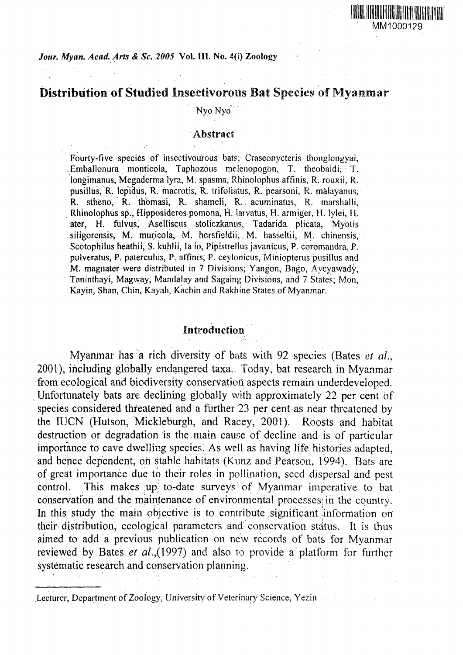# Distribution of Studied Insectivorous Bat Species of Myanmar

Nyo Nyo

# Abstract

Fourty-five species of insectivourous bats; Craseonycteris thonglongyai, Emballonura monticola, Taphozous melenopogon, T. theobaldi, T. longimanus, Megaderma lyra, M. spasma, Rhinolophus affinis, R. rouxii, R. pusillus, R. lepidus, R. macrotis, R. trifoliatus, R. pearsoni, R. malayanus, R. stheno, R. thbmasi, R. shameli, R. acuminatus, R. marshalli, Rhinolophus sp., Hipposideros pomona, H. larvatus, H. armiger, H. lylei, H. ater, H. fulvus, Aselliscus stoliczkanus, Tadarida plicata, Myotis siligorensis, M. muricola, M. horsfieldii, M. hasseltii, M. chinensis, Scotophilus heathii, S. kuhlii, la io, Pipistrellus javanicus, P. coromandra, P. pulveratus, P. paterculus, P. affinis, P. ceylonicus, Miniopterus pusillus and M. magnater were distributed in 7 Divisions; Yangon, Bago, Ayeyawady, Taninthayi, Magway, Mandaiay and Sagaing Divisions, arid 7 States; Mon, Kayin, Shan, Chin, Kayah, Kachin and Rakhine States of Myanmar.

# Introduction

Myanmar has a rich diversity of bats with 92 species (Bates *et al.,* 2001), including globally endangered taxa. Today, bat research in Myanmar from ecological and biodiversity conservation aspects remain underdeveloped. Unfortunately bats are declining globally with approximately 22 per cent of species considered threatened and a further 23 per cent as near threatened by the IUCN (Hutson, Mickleburgh, and Racey, 2001). Roosts and habitat destruction or degradation is the main cause of decline and is of particular importance to cave dwelling species. As well as having life histories adapted, and hence dependent, oh stable habitats (Kunz and Pearson, 1994). Bats are of great importance due to their roles in pollination, seed dispersal and pest control. This makes up' to-date surveys of Myanmar imperative to bat conservation and the maintenance of environmental processes; in the country. In this study the main objective is to contribute significant information on their distribution, ecological parameters and conservation status. It is thus aimed to add a previous publication on new records of bats for Myanmar reviewed by Bates et  $al.,(1997)$  and also to provide a platform for further systematic research and conservation planning.

Lecturer, Department of Zoology, University of Veterinary Science, Yezin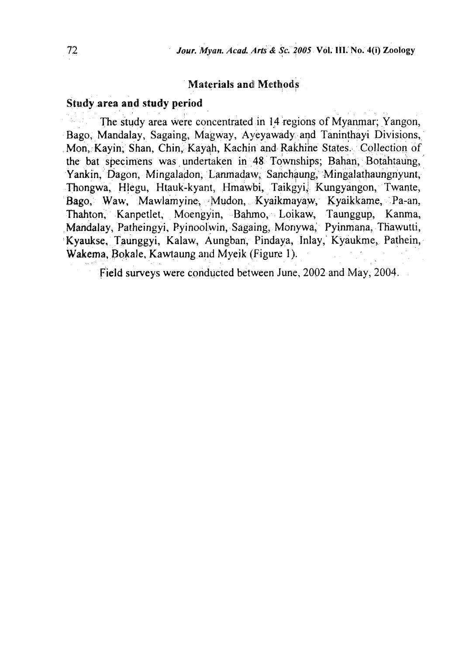# Materials and Methods

# Study area and study period

The study area were concentrated in 14 regions of Myanmar; Yangon, Bago, Mandalay, Sagaing, Magway, Ayeyawady and Taninthayi Divisions, Mon, Kayin, Shan, Chin, Kayah, Kachin and Rakhine States. Collection of the bat specimens was undertaken in 48 Townships; Bahan, Botahtaung, Yankin, Dagon, Mingaladon, Lanmadaw, Sanchaung, Mingalathaungnyunt, Thongwa, Hlegu, Htauk-kyant, Hmawbi, Taikgyi, Kungyangon, Twante, Bago, Waw, Mawlamyine, Mudon, Kyaikmayaw, Kyaikkame, Pa-an, Thahton, Kanpetlet, Moengyin, Bahmo, Loikaw, Taunggup, Kanma, Mandalay, Patheingyi, Pyinoolwin, Sagaing, Monywa, Pyinmana, Thawutti, Kyaukse, Taunggyi, Kalaw, Aungban; Pindaya, Inlay, Kyaukme, Pathein, Wakema, Bokale, Kawtaung and Myeik (Figure 1).

Field surveys were conducted between June, 2002 and May, 2004.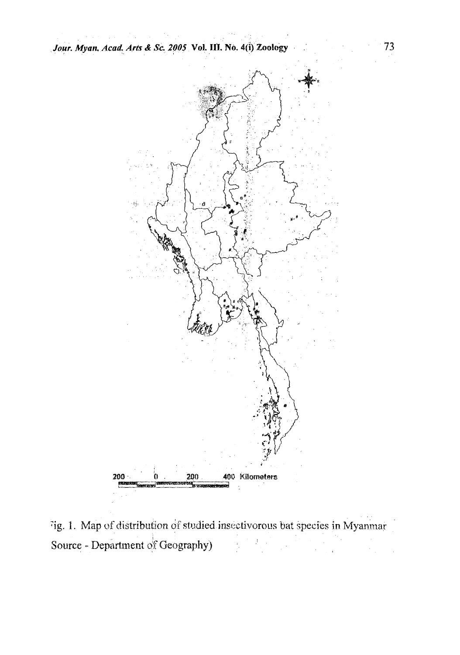

ig. 1. Map of distribution of studied insectivorous bat species in Myanmar Source - Department of Geography)  $\begin{split} \mathcal{F}_{\text{max}}(\mathbf{r}) & = \mathcal{F}_{\text{max}}(\mathbf{r}) \mathcal{F}_{\text{max}}(\mathbf{r}) \\ & = \mathcal{F}_{\text{max}}(\mathbf{r}) \mathcal{F}_{\text{max}}(\mathbf{r}) \mathcal{F}_{\text{max}}(\mathbf{r}) \end{split}$  $\mathcal{F}_{\text{max}}^{\text{max}}$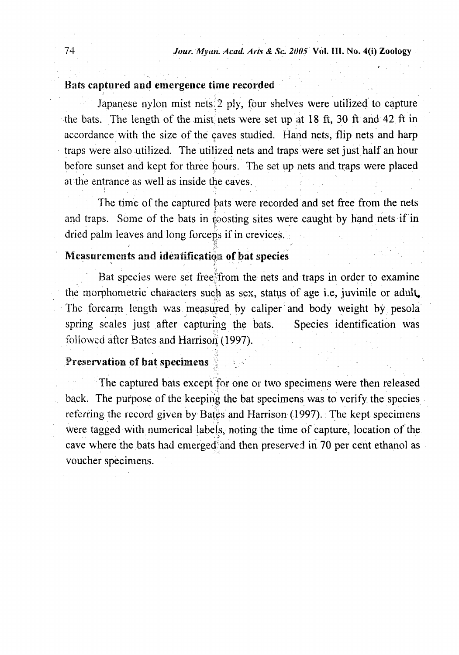# Bats captured and emergence time recorded

Japanese nylon mist nets 2 ply, four shelves were utilized to capture the bats. The length of the mist nets were set up at 18 ft, 30 ft and 42 ft in accordance with the size of the caves studied. Hand nets, flip nets and harp traps were also utilized. The utilized nets and traps were set just half an hour before sunset and kept for three hours. The set up nets and traps were placed at the entrance as well as inside the caves.

The time of the captured bats were recorded and set free from the nets and traps. Some of the bats in roosting sites were caught by hand nets if in dried palm leaves and long forceps if in crevices.

# Measurements and identification of bat species

Bat species were set freeffrom the nets and traps in order to examine the morphometric characters such as sex, status of age i.e, juvinile or adult. The forearm length was measured by caliper and body weight by pesola spring scales just after capturing the bats. Species identification was followed after Bates and Harrison (1997).

### Preservation of bat specimens

The captured bats except for one or two specimens were then released back. The purpose of the keeping the bat specimens was to verify the species referring the record given by Bates and Harrison (1997). The kept specimens were tagged with numerical labels, noting the time of capture, location of the cave where the bats had emerged and then preserved in 70 per cent ethanol as voucher specimens.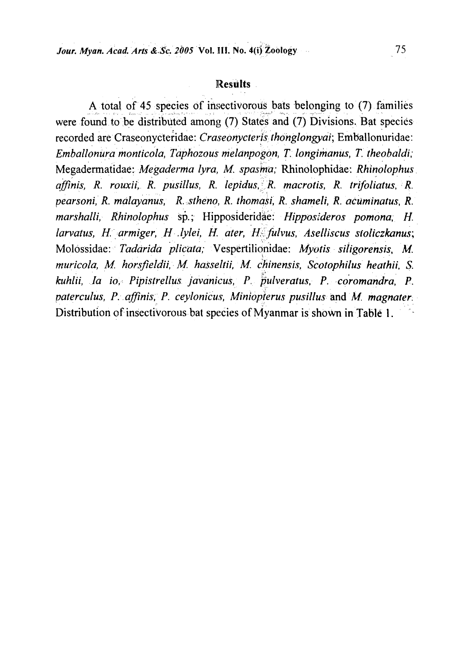# Results

A total of 45 species of insectivorous bats belonging to (7) families were found to be distributed among (7) States and (7) Divisions. Bat species recorded are Craseonycteridae: *Craseonycterjsthonglongyai;* Emballonuridae: *Emballonura monticola, Taphozous meldnpogon, T: longimanus, T. theobaldi;* Megadermatidae: *Megaderma lyra, M. spasmu;* Rhinolophidae: *Rhinolophus affinis, R. rouxii, R. pusillus, R. lepidus,I'R. macrotis, R. trifoliatus, R. pearsoni, R. malayanus, R. stheno, R. thomasi, R. shameli, R. acuminatus, R. marshalli, Rhinolophus* sp.; Hipposideridae: *Hipposideros pomona; H. larvatus, H: armiger, H .lylei, H. ater, H^fulvus, Aselliscus sloliczkanus;* Molossidae: *Taddrida plicata;* Vespeftilionidae: *Myotis siiigorensis, M. muricola, M. horsfieldii, M. hasseltii, M. chinensis, Scotophilus heathii, S. kuhlii, la io> Pipistrellus javanicus, P. pulveratus, P. coromandra, P. paterculus, P. affinis, P. ceylonicus, Miniopterus pusillus and M. magnater* Distribution of insectivorous bat species of Myanmar is shown in Table 1.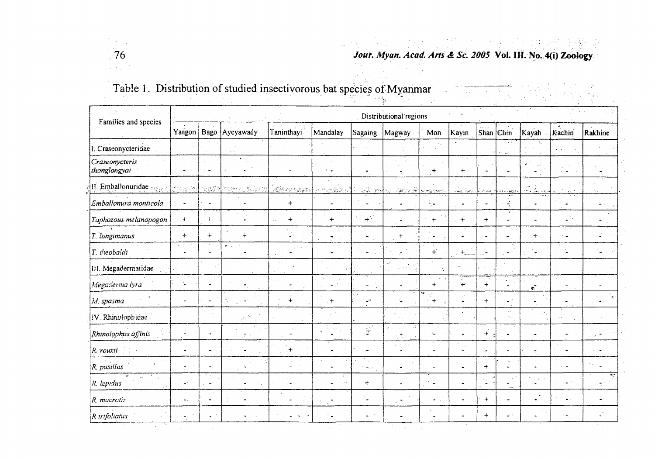

# 그리 안 되면 한 번 나는 물로 만들었다. 대학 출발함 **76** *Jour. Myan. Acad. Arts & Sc. 2005* **Vol. HI. No. 4(i) Zoology**

 $\mathcal{F}_\infty$ 

# Table I, Distribution of studied insectivorous bat species of Myanmar

| Families and species           |                            |                                    |                             |                          |                                               |                                        | Distributional regions     |                             |                                        |                  |                              |                                          |                 |                |
|--------------------------------|----------------------------|------------------------------------|-----------------------------|--------------------------|-----------------------------------------------|----------------------------------------|----------------------------|-----------------------------|----------------------------------------|------------------|------------------------------|------------------------------------------|-----------------|----------------|
|                                | Yangon                     | Bago                               | Ayeyawady                   | Taninthayi.              | Mandalay                                      | Sagaing                                | Magway                     | Mon                         | Kayin                                  | Shan             | $ _{\mathsf{Chin}}$          | Kayah                                    | Kachin          | Rakhine        |
| l. Craseonycteridae            |                            |                                    |                             |                          |                                               |                                        |                            | $\sim$ $\sim$               |                                        |                  | $\gamma$ (s)<br>з,           |                                          |                 |                |
| Craseonycteris<br>thonglongyai |                            | $\overline{\phantom{a}}$<br>$\sim$ |                             |                          | $\sim$ $\bullet$                              |                                        |                            | $\mathcal{C}^+$             | $+$                                    | $\blacksquare$   |                              | ă.<br>$\zeta$ ?<br>$\bullet$             |                 |                |
| II. Emballonuridae seaso       | 27472                      |                                    |                             | <u> Pasangaan</u>        | <u>mategrali sa mba</u>                       |                                        | <u>a provin</u>            | tar <del>a Xirjan</del> to  | والماء الملاء                          | يعتقينان         | $\lambda$ cases for $\omega$ | $\ddot{\phantom{1}}$<br>James B<br>ser L |                 |                |
| Emballonura monticola          | $\blacksquare$             | ä,                                 |                             | $+$                      | $\overline{a}$                                |                                        | J.                         | $\mathcal{L}_{\mathcal{A}}$ | $\mathcal{A}$<br>$\bullet$             | à.               | Ĵ,                           |                                          |                 |                |
| Taphozous melanopogon          | $+$                        | $+$                                |                             | $\ddot{}$                | $+$                                           | $+^{C}$                                | $\mathcal{L}_{\text{max}}$ | $\ddot{}$                   | $+$                                    | $+$              | х,                           |                                          | $\omega^{(n)}$  | $\blacksquare$ |
| T. longimanus                  | ÷                          | $+$                                | $\div$                      |                          | ÷.                                            | $\overline{\phantom{a}}$               | $+$                        |                             |                                        |                  | Ĩ.                           | $+$                                      | $\sim$ $\omega$ | Ľ.             |
| $ T $ theobaldi                | $\Delta$<br>$\overline{a}$ | $\overline{\phantom{0}}$           | <b>All Street</b><br>$\sim$ | $\overline{\phantom{0}}$ | $\sim$<br>$\overline{a}$                      | $\blacksquare$                         |                            | $+$                         | $+$<br>$\mathcal{L}_{\mathcal{A}}$     | -                |                              |                                          |                 |                |
| III. Megadermatidae            |                            |                                    |                             |                          |                                               |                                        |                            |                             | J.                                     |                  |                              |                                          |                 |                |
| Megaderma iyra                 |                            | $\sim$<br>$\ddot{\phantom{a}}$     |                             |                          | $\mathcal{L}$<br>$\sigma_{\rm{eff}}=0.1$<br>٠ | $\blacksquare$                         |                            | $\sim 10^6$<br>6. C<br>$+$  | T <del>erry</del><br>Ŧ.                | ==<br>$\ddot{+}$ |                              | чT,<br>$\hat{\mathbf{q}}$                |                 |                |
| M. spasma                      |                            | ÷.                                 |                             | $+$                      | $+$                                           | $\mathbb{Z}^{2d}$                      | Ċ.                         | ۰.,<br>$+$ $+$              | $\ddot{\phantom{a}}$                   | $+$              | L.                           |                                          |                 |                |
| IV. Rhinolophidae              |                            |                                    |                             |                          |                                               |                                        |                            |                             |                                        |                  | $\sim$ .<br>$\mathbb{R}^8$   |                                          |                 |                |
| Rhinolophus affinis            |                            |                                    | $\mathbf{v}$ .<br>٠         | $\epsilon$ =             | $\Delta$                                      | $\mathbb{R}$                           |                            | r.                          |                                        | $\downarrow$     |                              |                                          |                 |                |
| R rouxii                       |                            |                                    |                             | $\mathcal{F}^+$          |                                               | $\sim$                                 |                            |                             | $\epsilon$<br>$\overline{\phantom{a}}$ | $\bullet$        |                              |                                          |                 |                |
| R. pusillus                    | $\bullet$                  | $\blacksquare$                     |                             |                          | ÷                                             | $\ddot{\phantom{a}}$<br>$\blacksquare$ |                            |                             |                                        | $+$              |                              |                                          | $\ddotsc$       |                |
| R. lepidus                     | $\blacksquare$             | $\overline{a}$                     |                             |                          | $\sim$ . $\sim$<br>$\blacksquare$             | $+$                                    |                            |                             | $\bullet$                              | $\blacksquare$   | $\overline{\phantom{0}}$     |                                          | $\sim$ $\sim$   |                |
| R. macrotis                    | $\bullet$ .                |                                    |                             |                          | $\blacksquare$<br>÷.                          | 12                                     | $\gamma_{\rm{a}}$          | $\bullet$                   | $\overline{\phantom{a}}$               | $\ddot{}$        |                              |                                          |                 |                |
| R trifoliatus                  | $\bullet$ .                | $\blacksquare$                     |                             |                          | ٠.                                            | $\sim$                                 |                            |                             |                                        | $+$              |                              |                                          |                 |                |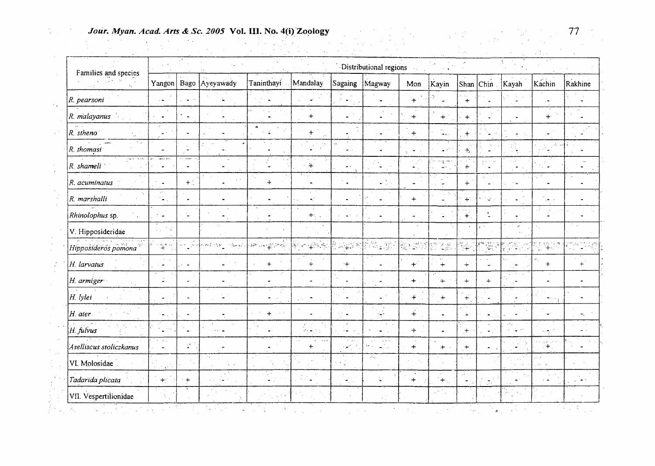# *Jour. Myan. Acad. Arts & Sc. 2005* Vol. III. No. 4(i) Zoology **77**<br>
77  $\mathcal{A}_\text{max}$  and  $\mathcal{A}_\text{max}$

| Families and species            |                                                                                                                                                                                                                                                                                                                                                     |                       |                                                                                                                                                                                                             |                                                                                                                                                              |                                                          |                                                | Distributional regions                                                                                                |                        |                           |                    |                                 |                                                               |                      |             |
|---------------------------------|-----------------------------------------------------------------------------------------------------------------------------------------------------------------------------------------------------------------------------------------------------------------------------------------------------------------------------------------------------|-----------------------|-------------------------------------------------------------------------------------------------------------------------------------------------------------------------------------------------------------|--------------------------------------------------------------------------------------------------------------------------------------------------------------|----------------------------------------------------------|------------------------------------------------|-----------------------------------------------------------------------------------------------------------------------|------------------------|---------------------------|--------------------|---------------------------------|---------------------------------------------------------------|----------------------|-------------|
|                                 |                                                                                                                                                                                                                                                                                                                                                     |                       | Yangon   Bago   Ayeyawady                                                                                                                                                                                   | Taninthayi                                                                                                                                                   | Mandalay                                                 | Sagaing                                        | Magway                                                                                                                | Mon                    | Kayin                     | Shan               | $ _{\mathsf{Chin}}$             | Kayah                                                         | Kachin               | Rakhine     |
| R. pearsoni                     | г.                                                                                                                                                                                                                                                                                                                                                  |                       |                                                                                                                                                                                                             |                                                                                                                                                              | $\omega^*_{\rm c}$                                       |                                                |                                                                                                                       | $+$                    | Ŧ.                        | $\ddot{+}$         |                                 |                                                               | ۰.                   |             |
| R. malayanus                    |                                                                                                                                                                                                                                                                                                                                                     |                       |                                                                                                                                                                                                             | $\sim$                                                                                                                                                       | $\mathcal{A}=\mathcal{A}$<br>$+$                         | $\ddot{\phantom{1}}$                           | $\ddot{\phantom{a}}$                                                                                                  | $+$                    | $+$                       | $+$                |                                 |                                                               | $+$                  |             |
| $R.$ stheno                     | u k                                                                                                                                                                                                                                                                                                                                                 |                       |                                                                                                                                                                                                             | $\Delta$                                                                                                                                                     | $\boldsymbol{+}$                                         |                                                | ٠.                                                                                                                    | $+$                    | $\ddotsc$<br>$\sim$ $<$ . | $+$                |                                 |                                                               |                      |             |
| $\Delta \sim \mu$<br>R. thomasi |                                                                                                                                                                                                                                                                                                                                                     |                       |                                                                                                                                                                                                             |                                                                                                                                                              | i du                                                     | $\mathcal{L}_{\mathbf{r}}$<br>$\Delta \sim 10$ |                                                                                                                       |                        | $\mathbf{L}^{(n)}$        | $+$                |                                 | уŃ.                                                           | $\Lambda$ .          |             |
| الكياف الفريقة<br>$R$ shameli   | $\overline{a}$ , $\overline{b}$                                                                                                                                                                                                                                                                                                                     |                       |                                                                                                                                                                                                             | d.                                                                                                                                                           | $\alpha_1,\ldots,\alpha_k$<br>$+$                        | $\sim$<br>$\overline{\phantom{a}}$             |                                                                                                                       | $\alpha = 1.7$ .<br>ΩÎ | ng mes<br>$\cdot$         | $\pm$              |                                 | $\sim 10^6$                                                   |                      |             |
| $R.$ acuminatus                 |                                                                                                                                                                                                                                                                                                                                                     | $+$ $\cdot$           |                                                                                                                                                                                                             | $+$                                                                                                                                                          |                                                          | $\bullet$                                      |                                                                                                                       |                        |                           | $+$                |                                 |                                                               |                      |             |
| R. marshalli                    | $\epsilon$ $\sigma$<br>۰,                                                                                                                                                                                                                                                                                                                           |                       |                                                                                                                                                                                                             |                                                                                                                                                              | $\bullet$ .                                              |                                                |                                                                                                                       | $+$                    |                           | $+$                | ΥŹ.                             |                                                               |                      |             |
| Rhinolophus sp.                 | *                                                                                                                                                                                                                                                                                                                                                   |                       | $\cdot$                                                                                                                                                                                                     |                                                                                                                                                              | $\langle \frac{1}{2} \hat{\mathbf{r}}^{\dagger} \rangle$ | $\bullet$ .                                    |                                                                                                                       |                        | ûν,                       | $\ddot{+}$         |                                 |                                                               | ЦD.                  |             |
| V. Hipposideridae               |                                                                                                                                                                                                                                                                                                                                                     |                       |                                                                                                                                                                                                             |                                                                                                                                                              |                                                          |                                                |                                                                                                                       |                        |                           |                    | $\sim$                          | $\lambda$                                                     |                      |             |
| Hipposideros pomona             | $\begin{picture}(180,10) \put(0,0){\line(1,0){10}} \put(10,0){\line(1,0){10}} \put(10,0){\line(1,0){10}} \put(10,0){\line(1,0){10}} \put(10,0){\line(1,0){10}} \put(10,0){\line(1,0){10}} \put(10,0){\line(1,0){10}} \put(10,0){\line(1,0){10}} \put(10,0){\line(1,0){10}} \put(10,0){\line(1,0){10}} \put(10,0){\line(1,0){10}} \put(10,0){\line($ | $\mathbb{R}^2$<br>a e | $\label{eq:1} \sigma^2\left(\mathcal{S}^2\right)_{\mathcal{S}}^2 = \left( \mathcal{S}^2 \right)_{\mathcal{S}}^2 \left( \mathcal{S}^2 \right)_{\mathcal{S}}^2 \left( \mathcal{S}^2 \right)_{\mathcal{S}}^2.$ | $\mathbb{E}\left\{ \mathcal{G}^{\text{MC}}\right\} \left( \mathcal{A}\right) = \prod_{i=1}^{n} \mathcal{G}^{\text{MC}}\left( \mathcal{G}^{\text{MC}}\right)$ | 医一种细胞三极性细胞的                                              |                                                |                                                                                                                       | A Carl Braz            |                           | $\frac{N}{N+1}$ .  | i gale                          | $\mathbb{C} \mathbb{P}^{n}$                                   | 机率流                  | masing.     |
| H. larvatus                     |                                                                                                                                                                                                                                                                                                                                                     |                       |                                                                                                                                                                                                             | $\ddot{}$                                                                                                                                                    | $\ddot{+}$                                               | $+$                                            |                                                                                                                       | $+$                    | $+$                       | $+$                | ä.                              | $\blacksquare$                                                | $+$                  | $+$         |
| $ H$ . armiger                  | φ.                                                                                                                                                                                                                                                                                                                                                  |                       | ٠                                                                                                                                                                                                           |                                                                                                                                                              | ÷                                                        |                                                | $\ddot{\phantom{a}}$                                                                                                  | $+$                    | $+$                       | $+$                | $+$                             |                                                               |                      |             |
| H. lylei                        | $\tilde{\phantom{a}}$                                                                                                                                                                                                                                                                                                                               |                       |                                                                                                                                                                                                             | ٠                                                                                                                                                            | Ċ.                                                       |                                                | $\overline{a}$                                                                                                        | $+$                    | $+$                       | $\ddot{+}$         |                                 |                                                               | $\bullet$            |             |
| $ H$ . ater.                    | ÷.                                                                                                                                                                                                                                                                                                                                                  |                       |                                                                                                                                                                                                             | $+$                                                                                                                                                          |                                                          | $\bullet$                                      | ig)<br>17                                                                                                             | $\ddotplus$            |                           | $\mathbf{L}^{(i)}$ |                                 |                                                               |                      | ÷.          |
| H. fulvus                       |                                                                                                                                                                                                                                                                                                                                                     |                       | $\sim 10^{11}$ m                                                                                                                                                                                            |                                                                                                                                                              | $\mathcal{E}$<br>$\mathcal{A} \leftarrow \mathbf{m}$     | $\omega$<br>- 1                                | $\blacksquare$                                                                                                        | $+$                    | $\blacksquare$            | $+$                | $\alpha_{\rm B}$<br>$\sim 10^4$ | $\mathcal{O}_{\mathcal{A}}$<br>$\frac{1}{2} \leq \frac{1}{2}$ | $\sim \tau_{\rm p}$  |             |
| Aselliscus stoliczkanus         | $\sigma = 2\sigma_{\rm eff}$<br>$\blacksquare$                                                                                                                                                                                                                                                                                                      | ¥.                    |                                                                                                                                                                                                             |                                                                                                                                                              | $+$                                                      | $\sim$ $ \mu$ .<br>الأراتين                    | $\sim$ 8 $\times$<br>$\sim$ $^{\circ}$<br>$\omega_{\rm{max}}^{\rm{obs}}$<br>$\mathbf{r}(\mathbf{y})$ , $\mathbf{r}$ , | $+$                    | $\blacksquare$<br>$\pm$   | $+$                |                                 |                                                               | $+$                  |             |
| VI. Molosidae                   | $\mathbb{R}^{N}$                                                                                                                                                                                                                                                                                                                                    |                       | $\sim$ .                                                                                                                                                                                                    |                                                                                                                                                              |                                                          |                                                | $\mathcal{A}_{\mathcal{M}}$                                                                                           |                        |                           |                    |                                 |                                                               | $\sim$<br>îκ.        |             |
| Tadarida plicata                | $\pm \cdot$                                                                                                                                                                                                                                                                                                                                         | $+$                   |                                                                                                                                                                                                             | $\blacksquare$                                                                                                                                               | $\mathcal{I}$ , $\mathcal{I}$ ,                          | $\sigma_{\rm c}^2$ .                           | $\mathbb{Z}^2$                                                                                                        | $+$                    | $+$                       | $\blacksquare$     | Ť,<br>호                         |                                                               | $\ddot{\phantom{1}}$ | .<br>$\sim$ |
| VII. Vespertilionidae           |                                                                                                                                                                                                                                                                                                                                                     |                       |                                                                                                                                                                                                             |                                                                                                                                                              |                                                          |                                                |                                                                                                                       |                        | ्रस्ति                    |                    |                                 | q.                                                            |                      |             |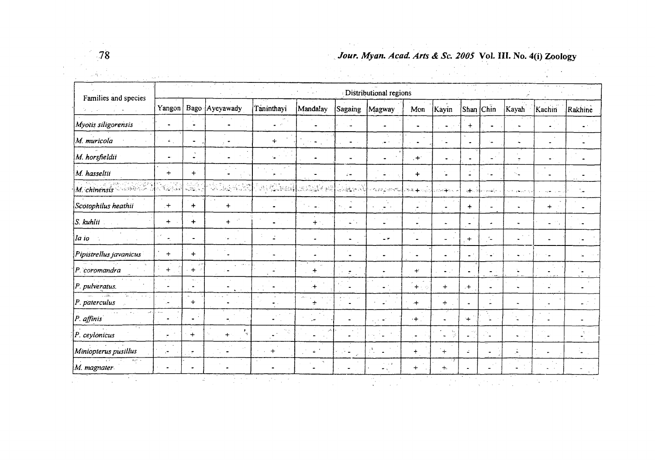

 $\mathcal{L}_{\rm{max}}$  .

# **78** *Jour. My an. Acad. Arts & Sc. 2005* Vol. HI. No. 4(i) Zoology

| Families and species                                             | Distributional regions                                                                                                                 |                |                                                       |                                       |                                 |                               |                                             |              |                              |                |                                  |                       |                           |                                                  |
|------------------------------------------------------------------|----------------------------------------------------------------------------------------------------------------------------------------|----------------|-------------------------------------------------------|---------------------------------------|---------------------------------|-------------------------------|---------------------------------------------|--------------|------------------------------|----------------|----------------------------------|-----------------------|---------------------------|--------------------------------------------------|
|                                                                  | Yangon                                                                                                                                 |                | Bago Ayeyawady                                        | Taninthayi                            | Mandalay                        | Sagaing                       | Magway                                      | Mon          | Kayin                        | Shan           | Chin                             | Kayah                 | Kachin                    | Rakhine                                          |
| Myotis siligorensis                                              |                                                                                                                                        |                |                                                       | $\bullet$ $\bullet$ $^{\circ}$        |                                 |                               |                                             |              | $\bullet$                    | $+$            |                                  |                       |                           | $\bullet$ .                                      |
| M. muricola                                                      | $\Delta \sim 1$                                                                                                                        |                |                                                       | $+$                                   | $\tau \ll \omega$               | $\blacksquare$                | د جار                                       |              | $\hat{\phantom{a}}$          | $\bullet$      | ے '                              |                       |                           | $\alpha$ , $\alpha$ , $\alpha$<br>$\blacksquare$ |
| M. horsfieldii                                                   | $\bullet$                                                                                                                              |                |                                                       | $\sim$<br>20000<br>$\tau_{\bullet}$ . |                                 |                               |                                             | $+$          | $\bullet$                    | $\blacksquare$ | $\Delta^{\rm (a)}$               |                       |                           |                                                  |
| M. hasseltii                                                     | $+$                                                                                                                                    | $+$            |                                                       | $\mathbf{r}$                          |                                 | $\ddot{r}$ =                  |                                             | $+$          |                              | $\mathbb{Z}^2$ |                                  | $\sim$ $\blacksquare$ |                           |                                                  |
| $M$ chinensis                                                    | $\frac{1}{\sigma_{\rm c}} \frac{1}{\sigma_{\rm c}^2} \frac{1}{\sigma_{\rm c}^2} \frac{1}{\sigma_{\rm c}^2} \frac{1}{\sigma_{\rm c}^2}$ |                | te lega 192 jan 21. saj (ruha pr                      |                                       |                                 |                               | where correctly the 4 minutes and 4 minutes |              |                              | ा स            | $\gamma\chi\chi\chi\chi\chi\chi$ | ومراجع والمتعادية     |                           |                                                  |
| Scotophilus heathii                                              | $+$                                                                                                                                    | $+$            | $+$                                                   |                                       | $\Delta \sim 10$<br>$\bullet$ . | $\bullet$                     |                                             |              |                              | $+$            |                                  |                       | $+$                       |                                                  |
| $S.$ kuhlii                                                      | $+$                                                                                                                                    | $+$            | $+$                                                   |                                       | $+$ .                           | $\mathcal{L}^{\mathcal{I}}$ . | $\bullet$                                   |              |                              | $\sim$         |                                  |                       | $\blacksquare$            |                                                  |
| la io                                                            | $\bullet$                                                                                                                              | $\blacksquare$ | $\mathbf{e}^{\mathrm{c}}$ , $\mathbf{e}^{\mathrm{c}}$ |                                       |                                 | $\blacksquare$                | $\overline{\phantom{a}}$                    |              |                              | $+$            |                                  |                       |                           | ۰.                                               |
| Pipistrellus javanicus                                           | $+$                                                                                                                                    | $+$            |                                                       |                                       |                                 | $\bullet$                     |                                             |              |                              | $\bullet$ :    | $\mathbf{r}^{\prime}$            |                       |                           |                                                  |
| P. coromandra                                                    | $+$                                                                                                                                    | $+$ $-$        | $\sim$ and $\sim$                                     |                                       | $\div$                          | $\tau$                        |                                             | $+$          | $\sim 10^6$                  |                |                                  |                       |                           |                                                  |
| P. pulveratus.                                                   |                                                                                                                                        | $\bullet$      |                                                       |                                       | $\ddot{}$                       |                               |                                             | $+ - \gamma$ | $+$                          | $+$            |                                  |                       | $\sim$                    |                                                  |
| <b>CONSTRUCTION</b><br><b>Contract Contract</b><br>P. paterculus | $\blacksquare$                                                                                                                         | $\sim$<br>$+$  |                                                       | $\bullet$ .                           | $\div$                          | $\blacksquare$                | $\mathbb{Z}^2$                              | $+$          | $+$                          |                |                                  |                       |                           |                                                  |
| د ب<br>P. affinis                                                |                                                                                                                                        | $\omega^{-1}$  |                                                       |                                       | $\sim$<br>Ļ.                    |                               | $\blacksquare$                              | $\cdot +$ .  |                              | $+$            |                                  |                       | $\cdot$                   |                                                  |
| P. ceylonicus                                                    | $\blacksquare$                                                                                                                         | $+$            | $+$                                                   | ng.                                   |                                 |                               |                                             |              | iy.<br>$\tilde{\phantom{a}}$ | $\sim$         |                                  | $\bullet$             |                           | -51                                              |
| Miniopterus pusillus                                             | $\sim$ $\sim$<br>$\overline{a}$                                                                                                        |                |                                                       | $+$                                   | $\sim$                          |                               | ίÈ,                                         | $\div$       | $+$                          | ż.             |                                  | ÷,                    |                           | $\bullet$                                        |
| $1.2\pm 1.5$<br>M. magnater.                                     | $\blacksquare$                                                                                                                         |                |                                                       |                                       | $\mathcal{H}_\mathrm{c}$        |                               | ri via<br>$ \sim$                           | $\ddot{}$    | $+$                          |                |                                  | ÷.,                   | $\mathbf{m} = \mathbf{0}$ |                                                  |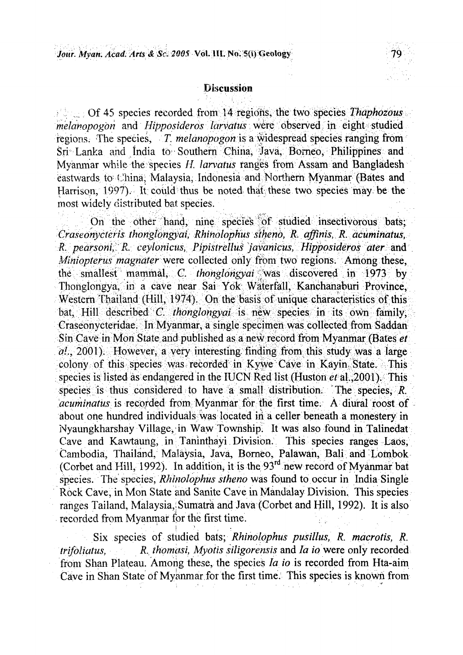

#### **Discussion**

 $\Box$  Of 45 species recorded from 14 regions, the two species Thaphozous *melanopogon* and *Hipposideros larvatus* were observed in eight studied regions. The species, T. melanopogon is a widespread species ranging from Sri Lanka and India to Southern China, Java, Borneo, Philippines and Myanmar while the species *H. larvatus* ranges from Assam and Bangladesh eastwards to China, Malaysia, Indonesia and Northern Myanmar (Bates and Harrison, 1997). It could thus be noted that these two species may be the most widely distributed bat species.

On the other hand, nine species of studied insectivorous bats; *Craseonyctens thorigiongyai, Rhinolophus sihend, R. affinis, R. ticuminatus, R. pearsoni, R. ceylonicus, Pipistrellus javanicus, Hipposideros ater and Miniopterus magnater* were collected only from two regions. Among these, the smallest mammal, C. *thonglongyai* was discovered in 1973 by Thonglongya, in a cave near Sai Yok Waterfall, Kanchanaburi Province, Western Thailand (Hill, 1974). On the basis of unique characteristics of this bat. Hill described *C. thonglongyai* is new species in its own family, Graseonycteridae. In Myanmar, a single specimen was collected from Saddan Sin Cave-in Mon State and published as a new record from Myanmar (Bates et  $a!$ , 2001). However, a very interesting finding from this study was a large colony of this species was *\* recorded in Ky\ve Cave in Kayiri^ State. *-:\* This species is listed as endangered in the IUCN Red list (Huston  $et$  al., 2001). This species is thus considered to have a small distribution. The species,  $\hat{R}$ . *acuminatus* is recorded from Myanmar for the first time. A diural roost of about one hundred individuals was located in a celler beneath a monestery in Nyaungkharshay Village, in Waw Township. It was also found in Talinedat Cave and Kawtaung, in Taninthayi Division. This species ranges Labs, Cambodia, Thailand, Malaysia, Java, Borneo, Palawan, Bali and Lombok (Corbet and Hill, 1992). In addition, it is the 93<sup>rd</sup> new record of Myanmar bat species. The species, *Rhinolophus stheno* Was found to occur in India Single Rock Cave, in Mon State and Sanite Cave in Mandalay Division. This species ranges Tailand, Malaysia, Sumatra and Java (Corbet and Hill, 1992). It is also recorded from Myanmar for the first time.

**f.** *'* **, •** Six species of studied bats; *Rhinolophus pusillus, R. macrotis, R. trifoliatus, R. thomasi, Myotis siligorensis* and *la io* were only recorded from Shan Plateau. Among these, the species *la io is* recorded from Hta-aim Cave in Shan State of Myanmar for the first time. This species is known from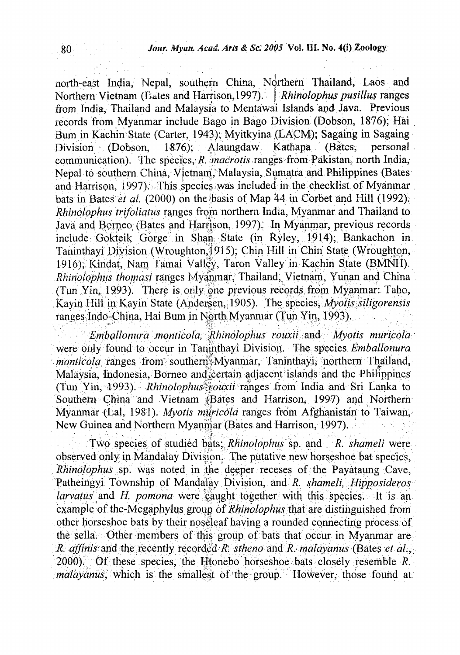north-east India, Nepal, southern China, Northern Thailand, Laos and Northern Vietnam (Bates and Harrison, 1997). | *Rhinolophus pusillus* ranges from India, Thailand and Malaysia to Mentawai Islands and Java. Previous records from Myanmar include Bago in Bago Division (Dobson, 1876); Hai Bum in Kachin State (Carter, 1943); Myitkyina (LACM); Sagaing in Sagaing Division (Dobson, 1876); Alaungdaw Kathapa (Bates, personal communication). The species, R. *macrotis* ranges from Pakistan, north India, Nepal to southern China, Vietnam, Malaysia, Sumatra and Philippines (Bates) and Harrison, 1997). This species was included in the checklist of Myanmar bats in Bates *et al.* (2000) on the basis of Map 44 in Corbet and Hill (1992). *Rhinolophus trifoliatus* ranges from northern India, Myanmar and Thailand to Java and Borneo (Bates and Harrison, 1997). In Myanmar, previous records include Gokteik Gorge in Shan State (in Ryley, 1914); Bankachon in Taninthayi Division (Wroughton, 1915); Chin Hill in Chin State (Wroughton, 1916); Kindat, Nam Tamai Valley, Taron Valley in Kachin State (BMNH). *Rhinolophiis thomasi* ranges Myanmar, Thailand, Vietnam, Yunan and China (Tun Yin, 1993). There is only one previous records from Myanmar: Taho, Kayin Hill in Kayin State (Andersen, 1905). The species, *Myotis* siligorensis ranges; Indo-China, Hai Bum in North Myanmar (Tun Yin, 1993).

*Emballonura monticota, >Rhinolophus muxii and: Myoiis muricola:* were pnly found to occur in Taninthayi Division. The species *Emballonura monticola* ranges from southern Myanmar, Taninthayi, northern Thailand, Malaysia, Indonesia, Borneo and certain adjacent islands and the Philippines (Tun Yin, vl993). *Rhinolophus^wuxii ranges* from India and Sri Lanka to Southern China and Vietnam (Bates and Harrison, 1997) and Northern Myanmar (Lai, 1981). *Myotis muricold* ranges from Afghanistan to Taiwan, New Guinea and Northern Myanmar (Bates and Harrison, 1997).

Two species of studied bats; *Rhinolophus* sp. and R. shameli were observed only in Mandalay Division. The putative new horseshoe bat species, *Rhinolophus* sp. was noted in the deeper receses of the Payataung Cave, Patheingyi Township of Mandalay. Division,. and *R. shameli, Hipposideros larvatus* and *H. pomona* were caught together with this species. It is an example of the-Megaphylus grouo of *Rhinolophus* that are distinguished from other horseshoe bats by their noseleaf having a rounded connecting process of the sella. Other members of this group of bats that occur in Myanmar are *R. affinis* and the recently recorded *R. stheno* and *R. malayanus* (Bates *et al.,* 2000);Of these species, the Iftonebo horseshoe: bats closely resemble *R. malayanus*, which is the smallest of the group. However, those found at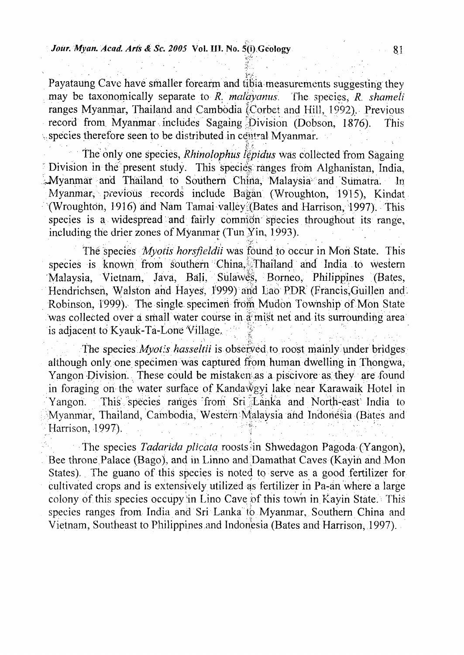Payataung Cave have smaller forearm and tibia measurements suggesting they may be taxonomically separate to *R. malayanus.* The species, *R. shameti* ranges Myanmar, Thailand and Cambodia (Corbet and Hill, 1992). Previous record from Myanmar includes Sagaing Division (Dobson, 1876). This record from Myanmar includes Sagaing-Division (Dobson, 1876). \.species therefore seen tobe distributed in •ceiitral Myanmar.

**• V • . i**

 **. ... .**

the only one species, *Rhinolopkus tepidus* was collected from Sagaing • Division in the present study. This species' ranges from Alghanistan, India, AVyanmar and Thailand to Southern China, Malaysia and Sumatra. In Myanmar, previous records include Bagan (Wroughton, 1915), Kindat (Wroughtoh, 1916) and Nam Tamai valleyi,(Bates and Harrison, 1997). This species is a widespread and fairly common species throughout its range, including the drier zones of Myanmar (Tun Yin, 1993).

**, . ' • . i** *"X-<sup>L</sup> -* **" •** The species *Myotis horsfwldii* was found to occur in Mori State. This species is known from southern China, Thailand and India to western Malaysia, Vietnam, Java, Bali, SuIaWes, Borneo, Philippines (Bates, Hendrichsen, Walston and Hayes, 1999) and Lao PDR (Francis, Guillen and. Robinson, 1999). The single specimen from Mudon Township of Mon State was collected over a small water course in a mist net and its surrounding area is adjacent to Kyauk-Ta-Lone Village.

The species.*Myoiis hasseltii* is observed to roost mainly under bridges although only one specimen was captured from human dwelling in Thongwa, Yangon Division. These could be mistaken as a piscivore as they are found in foraging on the water surface of Kandawgyi lake near Karawaik Hotel in Yangon. This species ranges from Sri Lanka and North-east India to Myanmar, Thailand, Cambodia, Western Malaysia and Indonesia (Bates and Harrison, 1997).  $\mathcal{F}^{(n)}$  : for  $\mathcal{F}^{(n)}$  is the set of  $\mathcal{F}^{(n)}$  $\mathcal{F} \in \mathbb{R}^{n \times n}$ : 17 M .  $\mathcal{L}^{\mathcal{L}}(\mathcal{L}^{\mathcal{L}})$  is the set of  $\mathcal{L}^{\mathcal{L}}(\mathcal{L}^{\mathcal{L}})$ 

The species *Tadarida plicata* roosts in Shwedagon Pagoda (Yangon), Bee throne Palace (Bago), and in Linno and Damathat Caves (Kayin and Mon States), The guano of this species is noted to serve as a good fertilizer for cultivated crops and is extensively utilized as fertilizer in Pa-an where a large colony of this species occupy in Lino Cave of this town in Kayin State. This species ranges from India and Sri Lanka to Myanmar, Southern China and Vietnam, Southeast to Philippines and Indonesia (Bates and Harrison, 1997).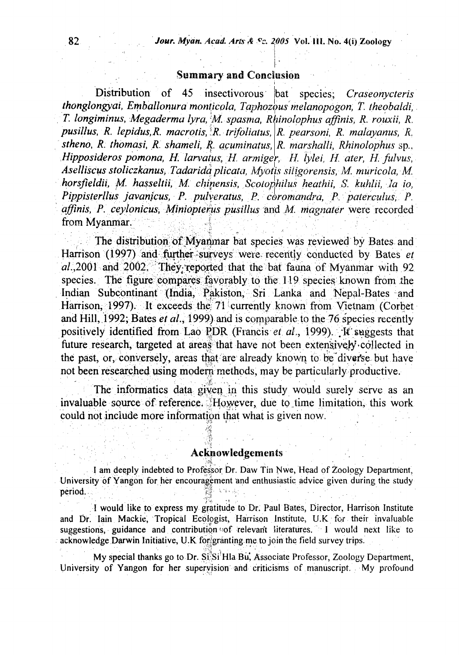#### Summary and Conclusion

**• . . i .**

Distribution of 45 insectivorous bat species; *Craseonycteris thonglongyai, Emballonura monticola, Taphozous melanopogon, T. theobaldi, T. longiminus, Megaderma lyra,* M *spasma, Rhinolophus affinis, R. rouxii, R. pusillus, R. lepidus,R. macrotis,lR. trifolialus, R, pearsoni, R. malayanus, R. stheno, R. thomasi, R. shameli, R. acuminatus, R. marshal li, Rhinolophus* sp., Hipposideros pomona, H. larvatus, H. armiger, H. lylei, H. ater, H. fulvus, *Aselliscus stoliczkanus> Tadaridqplicata, Myotis siligorensis, M. muricola, M. horsfieldii, M. hasseltii, M. chinensis, Scoiophilus heathii, S. huhlii, la io, Pippisterllus javanjcus, P. pidveratus, P. coromandra, P, paterculus, P. affinis, P. ceylonicus, Miniopiems pusillus* land *M. magnater* were recorded from Myanmar.

The distribution of Myanmar bat species was reviewed by Bates and Harrison (1997) and further-surveys were recently conducted by Bates et al.,2001 and 2002. They reported that the bat fauna of Myanmar with 92 species. The figure compares favorably to the  $119$  species known from the Indian Subcontinant (India, Pakiston, Sri Lanka and Nepal-Bates and Harrison, 1997). It exceeds the 71 currently known from Vietnam (Corbet and Hill, 1992; Bates *et al.*, 1999) and is comparable to the 76 species recently positively identified from Lao PDR (Francis *et al.*, 1999). *it* suggests that future research, targeted at areas that have not been extensively-collected in the past, or, conversely, areas that are already known to be diverse but have not been researched using modem methods, may be particularly productive.

The informatics data given in this study would surely serve as an invaluable source of reference. <sup>\*</sup>However, due to time limitation, this work could not include more information ihat what is given now.

#### Acknowledgements

I am deeply indebted to Professor Dr. Daw Tin Nwe, Head of Zoology Department, University of Yangon for her encouragement and enthusiastic advice given during the study period.  **; £ | ' V|-••';: . • -••'. . •**

I would like to express my gratitude to Dr. Paul'Bates, Director, Harrison Institute and Dr. Iain Mackie, Tropical Ecologist, Harrison Institute, U.K. for their invaluable suggestions, guidance and contribution of relevant literatures. I would next like to acknowledge Darwin Initiative, U.K. forigranting me to join the field survey trips.

My special thanks go to Dr. Si<sup>3</sup>Si<sup>1</sup>Hla Bu, Associate Professor, Zoology Department, University of Yangon for her supervision and criticisms of manuscript. My profound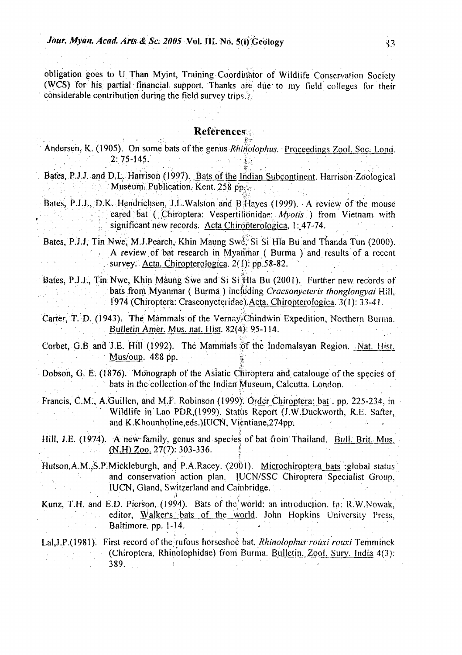obligation goes to U Than Myint, Training Coordinator of Wildlife Conservation Society (WCS) for his partial financial support. Thanks are due to my field colleges for their considerable contribution during the field survey trips.

#### **References**

- Andersen, K. (1905). On some bats of the genus *Rhinolophus.* Proceedings Zool. Soc: Lond. 2:75-145.
- Bates, P.J.J. and D.L. Harrison (1997). Bats of the Indian Subcontinent. Harrison Zoological Museum. Publication. Kent. 258 pp.
- Bates, P.J.J., D.K. Hendrichsen, J.L.Walston and BiHayes (1999). A review of the mouse : *-'•',.* • eared bat ( Chirbptera: Vespertilibnidae: *Myotis )* from Vietnam with significant new records. Acta Chiropterologica, l: 47-74.

Bates, P.J.J, Tin Nwe, M.J.Pearch, Khin Maung Swe, Si Si Hla Bu and Thanda Tun (2000). A review of bat research in Myanmar ( Burma ) and results of a recent survey. Acta. Chiropterologica.  $2(i)$ : pp.58-82.

Bates, P.J.J., Tin:Nwe, Khin Maung Swe and Si Si Hla Bu (2001). Further new records of : bats from Myanrnar ( Burma ) including *Craesonycteris thonglongyai* Hill, . 1974 (Chiroptera: Craseonycteridae).Acta. Chiropterologica. 3(1): 33-41.

- Carter, T. D. (1943). The Mammals of the Vernay-Chindwin Expedition, Northern Burma. Bulletin Amer. Mus. nat. Hist. 82(4): 95-114.
- Corbet, G.B and J.E. Hill (1992). The Mammals of the Indomalayan Region. Nat. Hist. Mus/oup. 488 pp.
- Dobson, G. E. (1876). Monograph of the Asiatic Chiroptera and catalouge of the species of bats in the collection of the Indian Museum, Calcutta. London.
- Francis, C.M., A.Guillen, and M.F. Robinson (1999). Order Chiroptera: bat. pp. 225-234, in Wildlife in Lao PDR,(1999). Status Report (J.W.Duckworth, R.E. Safter, and K.Khounboline,eds.)IUCN, Vientiane,274pp.
- Hill, J.E. (1974). A new-family, genus and species of bat from Thailand. Bull. Brit. Mus. (N.H) Zoo. 27(7): 303-336. 1
- Hutson, A.M., S.P. Mickleburgh, and P.A. Racey. (2001). Microchiroptera bats : global status and conservation action plan. IUCN/SSC Chiroptera Specialist Group, IUCN, Gland, Switzerland and Cambridge.
- Kunz, T.H. and E.D. Pierson, (1994). Bats of the^world: an introduction. *In:* R.W.Nowak, editor, Walkers bats of the world. John Hopkins University Press, Baltimore, pp. 1-14.

**• . I . . . - • • • •**

Lal,J.P.(1981). First record of the rufous horseshoe bat, *Rhinolophiis roiai rcuxi* Temminck (Chiroptera, Rhinolophidae) from Burma. Bulletin. Zool. Sury. India 4(3): . 389. I